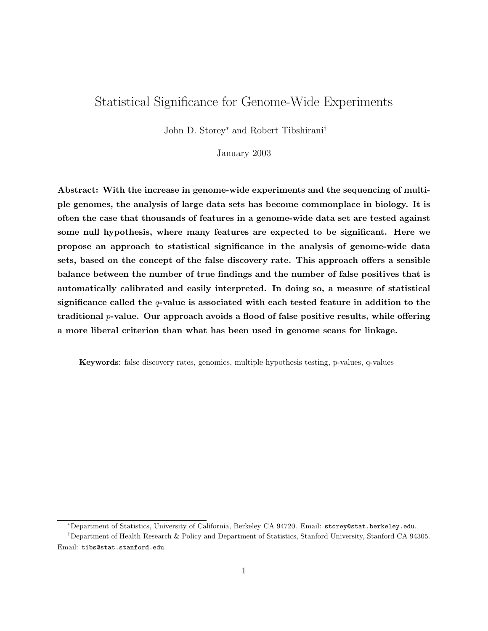# Statistical Significance for Genome-Wide Experiments

John D. Storey<sup>∗</sup> and Robert Tibshirani†

January 2003

Abstract: With the increase in genome-wide experiments and the sequencing of multiple genomes, the analysis of large data sets has become commonplace in biology. It is often the case that thousands of features in a genome-wide data set are tested against some null hypothesis, where many features are expected to be significant. Here we propose an approach to statistical significance in the analysis of genome-wide data sets, based on the concept of the false discovery rate. This approach offers a sensible balance between the number of true findings and the number of false positives that is automatically calibrated and easily interpreted. In doing so, a measure of statistical significance called the  $q$ -value is associated with each tested feature in addition to the traditional  $p$ -value. Our approach avoids a flood of false positive results, while offering a more liberal criterion than what has been used in genome scans for linkage.

Keywords: false discovery rates, genomics, multiple hypothesis testing, p-values, q-values

<sup>∗</sup>Department of Statistics, University of California, Berkeley CA 94720. Email: storey@stat.berkeley.edu.

<sup>†</sup>Department of Health Research & Policy and Department of Statistics, Stanford University, Stanford CA 94305. Email: tibs@stat.stanford.edu.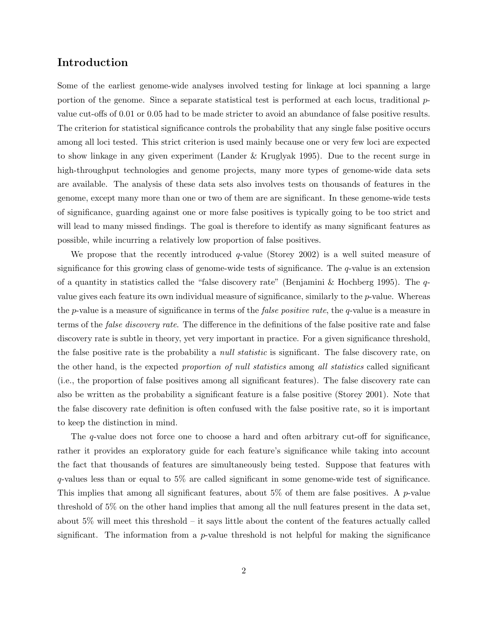#### Introduction

Some of the earliest genome-wide analyses involved testing for linkage at loci spanning a large portion of the genome. Since a separate statistical test is performed at each locus, traditional  $p$ value cut-offs of 0.01 or 0.05 had to be made stricter to avoid an abundance of false positive results. The criterion for statistical significance controls the probability that any single false positive occurs among all loci tested. This strict criterion is used mainly because one or very few loci are expected to show linkage in any given experiment (Lander & Kruglyak 1995). Due to the recent surge in high-throughput technologies and genome projects, many more types of genome-wide data sets are available. The analysis of these data sets also involves tests on thousands of features in the genome, except many more than one or two of them are are significant. In these genome-wide tests of significance, guarding against one or more false positives is typically going to be too strict and will lead to many missed findings. The goal is therefore to identify as many significant features as possible, while incurring a relatively low proportion of false positives.

We propose that the recently introduced  $q$ -value (Storey 2002) is a well suited measure of significance for this growing class of genome-wide tests of significance. The q-value is an extension of a quantity in statistics called the "false discovery rate" (Benjamini & Hochberg 1995). The  $q$ value gives each feature its own individual measure of significance, similarly to the  $p$ -value. Whereas the p-value is a measure of significance in terms of the *false positive rate*, the q-value is a measure in terms of the false discovery rate. The difference in the definitions of the false positive rate and false discovery rate is subtle in theory, yet very important in practice. For a given significance threshold, the false positive rate is the probability a *null statistic* is significant. The false discovery rate, on the other hand, is the expected proportion of null statistics among all statistics called significant (i.e., the proportion of false positives among all significant features). The false discovery rate can also be written as the probability a significant feature is a false positive (Storey 2001). Note that the false discovery rate definition is often confused with the false positive rate, so it is important to keep the distinction in mind.

The q-value does not force one to choose a hard and often arbitrary cut-off for significance, rather it provides an exploratory guide for each feature's significance while taking into account the fact that thousands of features are simultaneously being tested. Suppose that features with q-values less than or equal to 5% are called significant in some genome-wide test of significance. This implies that among all significant features, about  $5\%$  of them are false positives. A *p*-value threshold of 5% on the other hand implies that among all the null features present in the data set, about 5% will meet this threshold – it says little about the content of the features actually called significant. The information from a  $p$ -value threshold is not helpful for making the significance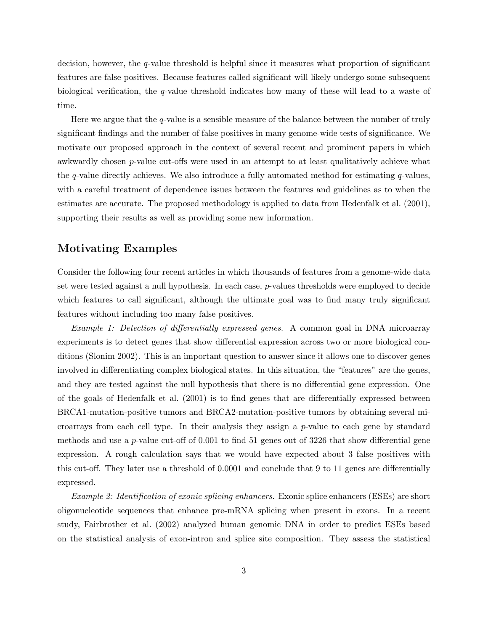decision, however, the q-value threshold is helpful since it measures what proportion of significant features are false positives. Because features called significant will likely undergo some subsequent biological verification, the q-value threshold indicates how many of these will lead to a waste of time.

Here we argue that the  $q$ -value is a sensible measure of the balance between the number of truly significant findings and the number of false positives in many genome-wide tests of significance. We motivate our proposed approach in the context of several recent and prominent papers in which awkwardly chosen p-value cut-offs were used in an attempt to at least qualitatively achieve what the q-value directly achieves. We also introduce a fully automated method for estimating  $q$ -values, with a careful treatment of dependence issues between the features and guidelines as to when the estimates are accurate. The proposed methodology is applied to data from Hedenfalk et al. (2001), supporting their results as well as providing some new information.

### Motivating Examples

Consider the following four recent articles in which thousands of features from a genome-wide data set were tested against a null hypothesis. In each case, p-values thresholds were employed to decide which features to call significant, although the ultimate goal was to find many truly significant features without including too many false positives.

Example 1: Detection of differentially expressed genes. A common goal in DNA microarray experiments is to detect genes that show differential expression across two or more biological conditions (Slonim 2002). This is an important question to answer since it allows one to discover genes involved in differentiating complex biological states. In this situation, the "features" are the genes, and they are tested against the null hypothesis that there is no differential gene expression. One of the goals of Hedenfalk et al. (2001) is to find genes that are differentially expressed between BRCA1-mutation-positive tumors and BRCA2-mutation-positive tumors by obtaining several microarrays from each cell type. In their analysis they assign a p-value to each gene by standard methods and use a p-value cut-off of  $0.001$  to find 51 genes out of 3226 that show differential gene expression. A rough calculation says that we would have expected about 3 false positives with this cut-off. They later use a threshold of 0.0001 and conclude that 9 to 11 genes are differentially expressed.

Example 2: Identification of exonic splicing enhancers. Exonic splice enhancers (ESEs) are short oligonucleotide sequences that enhance pre-mRNA splicing when present in exons. In a recent study, Fairbrother et al. (2002) analyzed human genomic DNA in order to predict ESEs based on the statistical analysis of exon-intron and splice site composition. They assess the statistical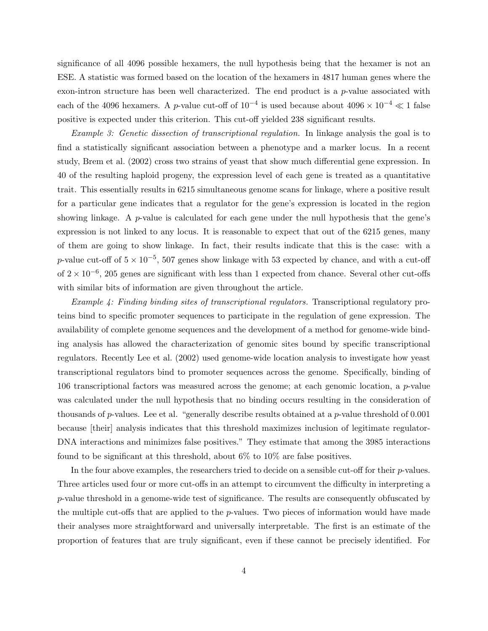significance of all 4096 possible hexamers, the null hypothesis being that the hexamer is not an ESE. A statistic was formed based on the location of the hexamers in 4817 human genes where the exon-intron structure has been well characterized. The end product is a p-value associated with each of the 4096 hexamers. A p-value cut-off of  $10^{-4}$  is used because about  $4096 \times 10^{-4} \ll 1$  false positive is expected under this criterion. This cut-off yielded 238 significant results.

Example 3: Genetic dissection of transcriptional regulation. In linkage analysis the goal is to find a statistically significant association between a phenotype and a marker locus. In a recent study, Brem et al. (2002) cross two strains of yeast that show much differential gene expression. In 40 of the resulting haploid progeny, the expression level of each gene is treated as a quantitative trait. This essentially results in 6215 simultaneous genome scans for linkage, where a positive result for a particular gene indicates that a regulator for the gene's expression is located in the region showing linkage. A  $p$ -value is calculated for each gene under the null hypothesis that the gene's expression is not linked to any locus. It is reasonable to expect that out of the 6215 genes, many of them are going to show linkage. In fact, their results indicate that this is the case: with a p-value cut-off of  $5 \times 10^{-5}$ , 507 genes show linkage with 53 expected by chance, and with a cut-off of  $2 \times 10^{-6}$ , 205 genes are significant with less than 1 expected from chance. Several other cut-offs with similar bits of information are given throughout the article.

Example 4: Finding binding sites of transcriptional regulators. Transcriptional regulatory proteins bind to specific promoter sequences to participate in the regulation of gene expression. The availability of complete genome sequences and the development of a method for genome-wide binding analysis has allowed the characterization of genomic sites bound by specific transcriptional regulators. Recently Lee et al. (2002) used genome-wide location analysis to investigate how yeast transcriptional regulators bind to promoter sequences across the genome. Specifically, binding of 106 transcriptional factors was measured across the genome; at each genomic location, a p-value was calculated under the null hypothesis that no binding occurs resulting in the consideration of thousands of p-values. Lee et al. "generally describe results obtained at a p-value threshold of  $0.001$ because [their] analysis indicates that this threshold maximizes inclusion of legitimate regulator-DNA interactions and minimizes false positives." They estimate that among the 3985 interactions found to be significant at this threshold, about 6% to 10% are false positives.

In the four above examples, the researchers tried to decide on a sensible cut-off for their *p*-values. Three articles used four or more cut-offs in an attempt to circumvent the difficulty in interpreting a p-value threshold in a genome-wide test of significance. The results are consequently obfuscated by the multiple cut-offs that are applied to the  $p$ -values. Two pieces of information would have made their analyses more straightforward and universally interpretable. The first is an estimate of the proportion of features that are truly significant, even if these cannot be precisely identified. For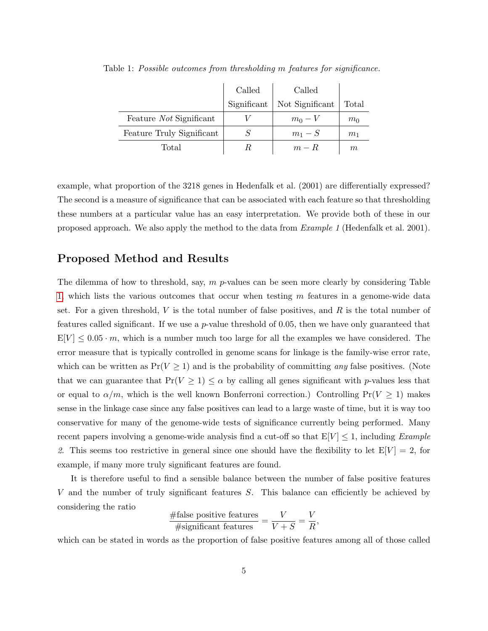<span id="page-4-0"></span>

|                           | Called      | Called          |                |
|---------------------------|-------------|-----------------|----------------|
|                           | Significant | Not Significant | Total          |
| Feature Not Significant   |             | $m_0-V$         | m <sub>0</sub> |
| Feature Truly Significant |             | $m_1-S$         | m <sub>1</sub> |
| Total                     |             | $m - R$         | m              |

Table 1: Possible outcomes from thresholding m features for significance.

example, what proportion of the 3218 genes in Hedenfalk et al. (2001) are differentially expressed? The second is a measure of significance that can be associated with each feature so that thresholding these numbers at a particular value has an easy interpretation. We provide both of these in our proposed approach. We also apply the method to the data from Example 1 (Hedenfalk et al. 2001).

### Proposed Method and Results

The dilemma of how to threshold, say,  $m$  p-values can be seen more clearly by considering Table [1,](#page-4-0) which lists the various outcomes that occur when testing  $m$  features in a genome-wide data set. For a given threshold,  $V$  is the total number of false positives, and  $R$  is the total number of features called significant. If we use a  $p$ -value threshold of 0.05, then we have only guaranteed that  $E[V] \leq 0.05 \cdot m$ , which is a number much too large for all the examples we have considered. The error measure that is typically controlled in genome scans for linkage is the family-wise error rate, which can be written as  $Pr(V \ge 1)$  and is the probability of committing any false positives. (Note that we can guarantee that  $Pr(V \ge 1) \le \alpha$  by calling all genes significant with p-values less that or equal to  $\alpha/m$ , which is the well known Bonferroni correction.) Controlling Pr( $V \ge 1$ ) makes sense in the linkage case since any false positives can lead to a large waste of time, but it is way too conservative for many of the genome-wide tests of significance currently being performed. Many recent papers involving a genome-wide analysis find a cut-off so that  $E[V] \leq 1$ , including *Example* 2. This seems too restrictive in general since one should have the flexibility to let  $E[V] = 2$ , for example, if many more truly significant features are found.

It is therefore useful to find a sensible balance between the number of false positive features V and the number of truly significant features S. This balance can efficiently be achieved by considering the ratio

$$
\frac{\text{\#false positive features}}{\text{\#significant features}} = \frac{V}{V+S} = \frac{V}{R},
$$

which can be stated in words as the proportion of false positive features among all of those called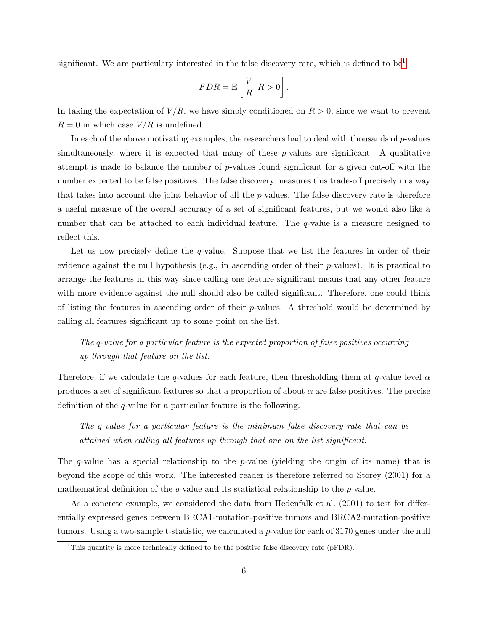significant. We are particulary interested in the false discovery rate, which is defined to be<sup>[1](#page-5-0)</sup>

$$
FDR = \mathcal{E}\left[\left.\frac{V}{R}\right|R>0\right].
$$

In taking the expectation of  $V/R$ , we have simply conditioned on  $R > 0$ , since we want to prevent  $R = 0$  in which case  $V/R$  is undefined.

In each of the above motivating examples, the researchers had to deal with thousands of  $p$ -values simultaneously, where it is expected that many of these  $p$ -values are significant. A qualitative attempt is made to balance the number of p-values found significant for a given cut-off with the number expected to be false positives. The false discovery measures this trade-off precisely in a way that takes into account the joint behavior of all the  $p$ -values. The false discovery rate is therefore a useful measure of the overall accuracy of a set of significant features, but we would also like a number that can be attached to each individual feature. The q-value is a measure designed to reflect this.

Let us now precisely define the  $q$ -value. Suppose that we list the features in order of their evidence against the null hypothesis (e.g., in ascending order of their  $p$ -values). It is practical to arrange the features in this way since calling one feature significant means that any other feature with more evidence against the null should also be called significant. Therefore, one could think of listing the features in ascending order of their p-values. A threshold would be determined by calling all features significant up to some point on the list.

## The q-value for a particular feature is the expected proportion of false positives occurring up through that feature on the list.

Therefore, if we calculate the q-values for each feature, then thresholding them at q-value level  $\alpha$ produces a set of significant features so that a proportion of about  $\alpha$  are false positives. The precise definition of the q-value for a particular feature is the following.

The q-value for a particular feature is the minimum false discovery rate that can be attained when calling all features up through that one on the list significant.

The q-value has a special relationship to the  $p$ -value (yielding the origin of its name) that is beyond the scope of this work. The interested reader is therefore referred to Storey (2001) for a mathematical definition of the q-value and its statistical relationship to the  $p$ -value.

As a concrete example, we considered the data from Hedenfalk et al. (2001) to test for differentially expressed genes between BRCA1-mutation-positive tumors and BRCA2-mutation-positive tumors. Using a two-sample t-statistic, we calculated a p-value for each of 3170 genes under the null

<span id="page-5-0"></span><sup>&</sup>lt;sup>1</sup>This quantity is more technically defined to be the positive false discovery rate ( $pFDR$ ).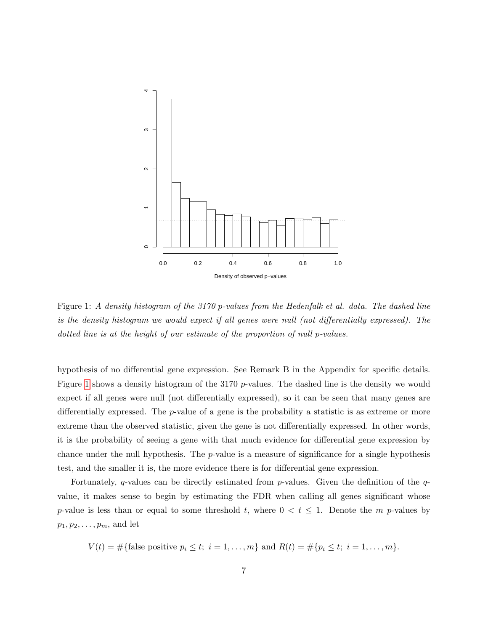

<span id="page-6-0"></span>Figure 1: A density histogram of the 3170 p-values from the Hedenfalk et al. data. The dashed line is the density histogram we would expect if all genes were null (not differentially expressed). The dotted line is at the height of our estimate of the proportion of null p-values.

hypothesis of no differential gene expression. See Remark B in the Appendix for specific details. Figure [1](#page-6-0) shows a density histogram of the 3170 p-values. The dashed line is the density we would expect if all genes were null (not differentially expressed), so it can be seen that many genes are differentially expressed. The p-value of a gene is the probability a statistic is as extreme or more extreme than the observed statistic, given the gene is not differentially expressed. In other words, it is the probability of seeing a gene with that much evidence for differential gene expression by chance under the null hypothesis. The  $p$ -value is a measure of significance for a single hypothesis test, and the smaller it is, the more evidence there is for differential gene expression.

Fortunately, q-values can be directly estimated from p-values. Given the definition of the qvalue, it makes sense to begin by estimating the FDR when calling all genes significant whose p-value is less than or equal to some threshold t, where  $0 < t \leq 1$ . Denote the m p-values by  $p_1, p_2, \ldots, p_m$ , and let

 $V(t) = \# \{\text{false positive } p_i \le t; i = 1, ..., m \} \text{ and } R(t) = \# \{p_i \le t; i = 1, ..., m \}.$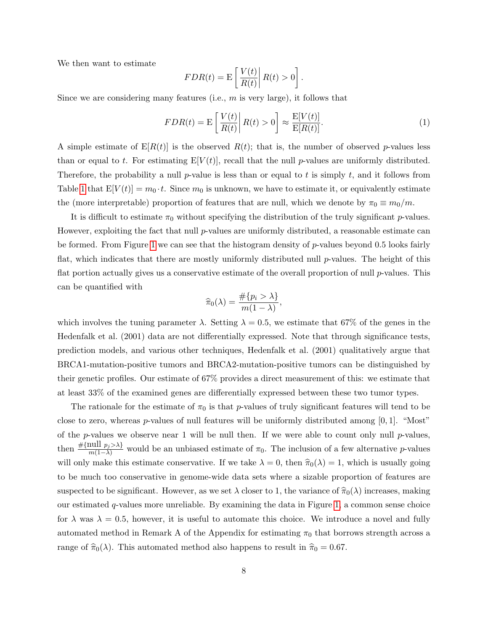We then want to estimate

<span id="page-7-0"></span>
$$
FDR(t) = \mathcal{E}\left[\left.\frac{V(t)}{R(t)}\right|R(t) > 0\right].
$$

Since we are considering many features (i.e.,  $m$  is very large), it follows that

$$
FDR(t) = \mathcal{E}\left[\frac{V(t)}{R(t)}\middle| R(t) > 0\right] \approx \frac{\mathcal{E}[V(t)]}{\mathcal{E}[R(t)]}.\tag{1}
$$

A simple estimate of  $E[R(t)]$  is the observed  $R(t)$ ; that is, the number of observed p-values less than or equal to t. For estimating  $E[V(t)]$ , recall that the null p-values are uniformly distributed. Therefore, the probability a null p-value is less than or equal to t is simply t, and it follows from Table [1](#page-4-0) that  $E[V(t)] = m_0 \cdot t$ . Since  $m_0$  is unknown, we have to estimate it, or equivalently estimate the (more interpretable) proportion of features that are null, which we denote by  $\pi_0 \equiv m_0/m$ .

It is difficult to estimate  $\pi_0$  without specifying the distribution of the truly significant p-values. However, exploiting the fact that null  $p$ -values are uniformly distributed, a reasonable estimate can be formed. From Figure [1](#page-6-0) we can see that the histogram density of p-values beyond 0.5 looks fairly flat, which indicates that there are mostly uniformly distributed null  $p$ -values. The height of this flat portion actually gives us a conservative estimate of the overall proportion of null p-values. This can be quantified with

$$
\widehat{\pi}_0(\lambda) = \frac{\#\{p_i > \lambda\}}{m(1-\lambda)},
$$

which involves the tuning parameter  $\lambda$ . Setting  $\lambda = 0.5$ , we estimate that 67% of the genes in the Hedenfalk et al. (2001) data are not differentially expressed. Note that through significance tests, prediction models, and various other techniques, Hedenfalk et al. (2001) qualitatively argue that BRCA1-mutation-positive tumors and BRCA2-mutation-positive tumors can be distinguished by their genetic profiles. Our estimate of 67% provides a direct measurement of this: we estimate that at least 33% of the examined genes are differentially expressed between these two tumor types.

The rationale for the estimate of  $\pi_0$  is that p-values of truly significant features will tend to be close to zero, whereas *p*-values of null features will be uniformly distributed among  $[0, 1]$ . "Most" of the  $p$ -values we observe near 1 will be null then. If we were able to count only null  $p$ -values, then  $\frac{\#\{\text{null } p_j>\lambda\}}{m(1-\lambda)}$  would be an unbiased estimate of  $\pi_0$ . The inclusion of a few alternative p-values will only make this estimate conservative. If we take  $\lambda = 0$ , then  $\hat{\pi}_0(\lambda) = 1$ , which is usually going to be much too conservative in genome-wide data sets where a sizable proportion of features are suspected to be significant. However, as we set  $\lambda$  closer to 1, the variance of  $\hat{\pi}_0(\lambda)$  increases, making our estimated q-values more unreliable. By examining the data in Figure [1,](#page-6-0) a common sense choice for  $\lambda$  was  $\lambda = 0.5$ , however, it is useful to automate this choice. We introduce a novel and fully automated method in Remark A of the Appendix for estimating  $\pi_0$  that borrows strength across a range of  $\hat{\pi}_0(\lambda)$ . This automated method also happens to result in  $\hat{\pi}_0 = 0.67$ .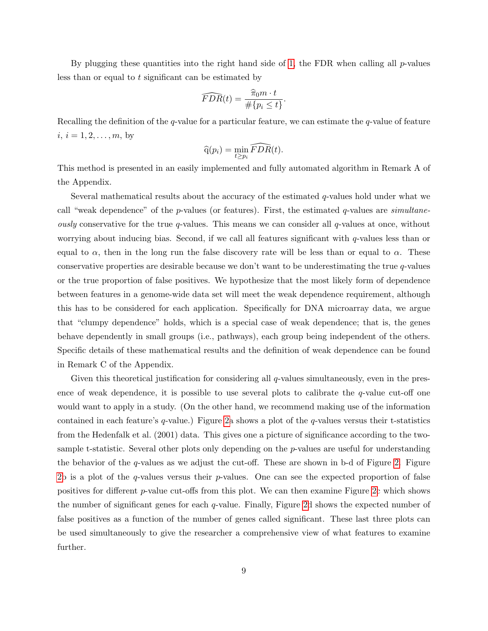By plugging these quantities into the right hand side of [1,](#page-7-0) the FDR when calling all  $p$ -values less than or equal to t significant can be estimated by

$$
\widehat{FDR}(t) = \frac{\widehat{\pi}_0 m \cdot t}{\#\{p_i \le t\}}.
$$

Recalling the definition of the q-value for a particular feature, we can estimate the q-value of feature  $i, i = 1, 2, \ldots, m$ , by

$$
\widehat{\mathbf{q}}(p_i) = \min_{t \geq p_i} \widehat{FDR}(t).
$$

This method is presented in an easily implemented and fully automated algorithm in Remark A of the Appendix.

Several mathematical results about the accuracy of the estimated q-values hold under what we call "weak dependence" of the  $p$ -values (or features). First, the estimated  $q$ -values are simultane*ously* conservative for the true q-values. This means we can consider all q-values at once, without worrying about inducing bias. Second, if we call all features significant with  $q$ -values less than or equal to  $\alpha$ , then in the long run the false discovery rate will be less than or equal to  $\alpha$ . These conservative properties are desirable because we don't want to be underestimating the true q-values or the true proportion of false positives. We hypothesize that the most likely form of dependence between features in a genome-wide data set will meet the weak dependence requirement, although this has to be considered for each application. Specifically for DNA microarray data, we argue that "clumpy dependence" holds, which is a special case of weak dependence; that is, the genes behave dependently in small groups (i.e., pathways), each group being independent of the others. Specific details of these mathematical results and the definition of weak dependence can be found in Remark C of the Appendix.

Given this theoretical justification for considering all  $q$ -values simultaneously, even in the presence of weak dependence, it is possible to use several plots to calibrate the  $q$ -value cut-off one would want to apply in a study. (On the other hand, we recommend making use of the information contained in each feature's  $q$ -value.) Figure [2a](#page-9-0) shows a plot of the  $q$ -values versus their t-statistics from the Hedenfalk et al. (2001) data. This gives one a picture of significance according to the twosample t-statistic. Several other plots only depending on the p-values are useful for understanding the behavior of the  $q$ -values as we adjust the cut-off. These are shown in b-d of Figure [2.](#page-9-0) Figure [2b](#page-9-0) is a plot of the  $q$ -values versus their  $p$ -values. One can see the expected proportion of false positives for different p-value cut-offs from this plot. We can then examine Figure [2c](#page-9-0) which shows the number of significant genes for each q-value. Finally, Figure [2d](#page-9-0) shows the expected number of false positives as a function of the number of genes called significant. These last three plots can be used simultaneously to give the researcher a comprehensive view of what features to examine further.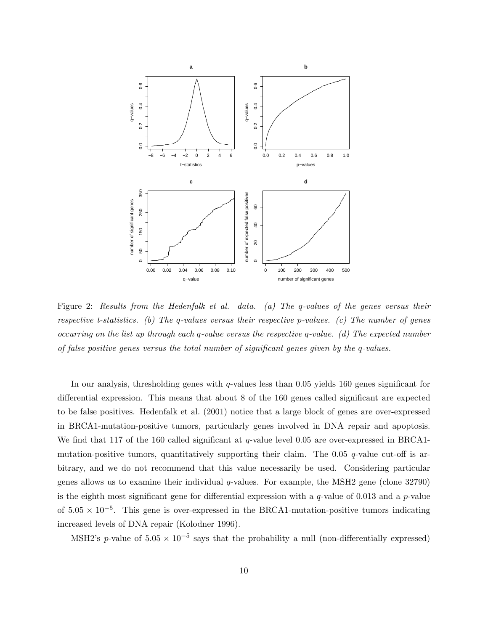

<span id="page-9-0"></span>Figure 2: Results from the Hedenfalk et al. data. (a) The q-values of the genes versus their respective t-statistics. (b) The q-values versus their respective p-values. (c) The number of genes occurring on the list up through each q-value versus the respective q-value. (d) The expected number of false positive genes versus the total number of significant genes given by the q-values.

In our analysis, thresholding genes with  $q$ -values less than 0.05 yields 160 genes significant for differential expression. This means that about 8 of the 160 genes called significant are expected to be false positives. Hedenfalk et al. (2001) notice that a large block of genes are over-expressed in BRCA1-mutation-positive tumors, particularly genes involved in DNA repair and apoptosis. We find that 117 of the 160 called significant at q-value level 0.05 are over-expressed in BRCA1mutation-positive tumors, quantitatively supporting their claim. The 0.05  $q$ -value cut-off is arbitrary, and we do not recommend that this value necessarily be used. Considering particular genes allows us to examine their individual  $q$ -values. For example, the MSH2 gene (clone 32790) is the eighth most significant gene for differential expression with a  $q$ -value of 0.013 and a  $p$ -value of  $5.05 \times 10^{-5}$ . This gene is over-expressed in the BRCA1-mutation-positive tumors indicating increased levels of DNA repair (Kolodner 1996).

MSH2's p-value of  $5.05 \times 10^{-5}$  says that the probability a null (non-differentially expressed)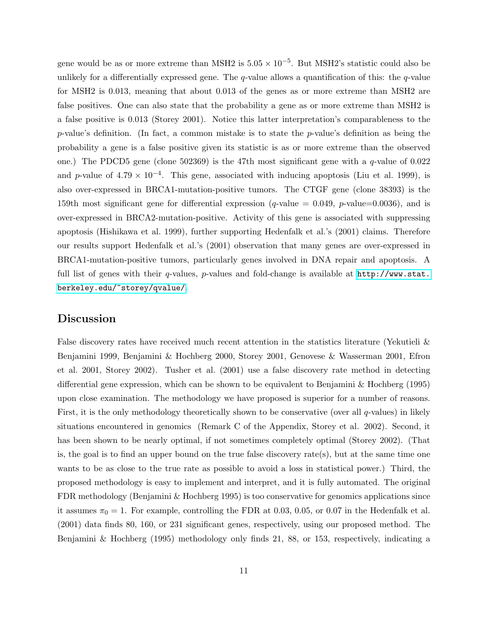gene would be as or more extreme than MSH2 is  $5.05 \times 10^{-5}$ . But MSH2's statistic could also be unlikely for a differentially expressed gene. The  $q$ -value allows a quantification of this: the  $q$ -value for MSH2 is 0.013, meaning that about 0.013 of the genes as or more extreme than MSH2 are false positives. One can also state that the probability a gene as or more extreme than MSH2 is a false positive is 0.013 (Storey 2001). Notice this latter interpretation's comparableness to the p-value's definition. (In fact, a common mistake is to state the p-value's definition as being the probability a gene is a false positive given its statistic is as or more extreme than the observed one.) The PDCD5 gene (clone 502369) is the 47th most significant gene with a q-value of 0.022 and p-value of  $4.79 \times 10^{-4}$ . This gene, associated with inducing apoptosis (Liu et al. 1999), is also over-expressed in BRCA1-mutation-positive tumors. The CTGF gene (clone 38393) is the 159th most significant gene for differential expression (*q*-value  $= 0.049$ , *p*-value=0.0036), and is over-expressed in BRCA2-mutation-positive. Activity of this gene is associated with suppressing apoptosis (Hishikawa et al. 1999), further supporting Hedenfalk et al.'s (2001) claims. Therefore our results support Hedenfalk et al.'s (2001) observation that many genes are over-expressed in BRCA1-mutation-positive tumors, particularly genes involved in DNA repair and apoptosis. A full list of genes with their q-values, p-values and fold-change is available at  $http://www.stat.$ [berkeley.edu/~storey/qvalue/](http://www.stat.berkeley.edu/~storey/qvalue/).

#### Discussion

False discovery rates have received much recent attention in the statistics literature (Yekutieli & Benjamini 1999, Benjamini & Hochberg 2000, Storey 2001, Genovese & Wasserman 2001, Efron et al. 2001, Storey 2002). Tusher et al. (2001) use a false discovery rate method in detecting differential gene expression, which can be shown to be equivalent to Benjamini & Hochberg (1995) upon close examination. The methodology we have proposed is superior for a number of reasons. First, it is the only methodology theoretically shown to be conservative (over all  $q$ -values) in likely situations encountered in genomics (Remark C of the Appendix, Storey et al. 2002). Second, it has been shown to be nearly optimal, if not sometimes completely optimal (Storey 2002). (That is, the goal is to find an upper bound on the true false discovery rate(s), but at the same time one wants to be as close to the true rate as possible to avoid a loss in statistical power.) Third, the proposed methodology is easy to implement and interpret, and it is fully automated. The original FDR methodology (Benjamini & Hochberg 1995) is too conservative for genomics applications since it assumes  $\pi_0 = 1$ . For example, controlling the FDR at 0.03, 0.05, or 0.07 in the Hedenfalk et al. (2001) data finds 80, 160, or 231 significant genes, respectively, using our proposed method. The Benjamini & Hochberg (1995) methodology only finds 21, 88, or 153, respectively, indicating a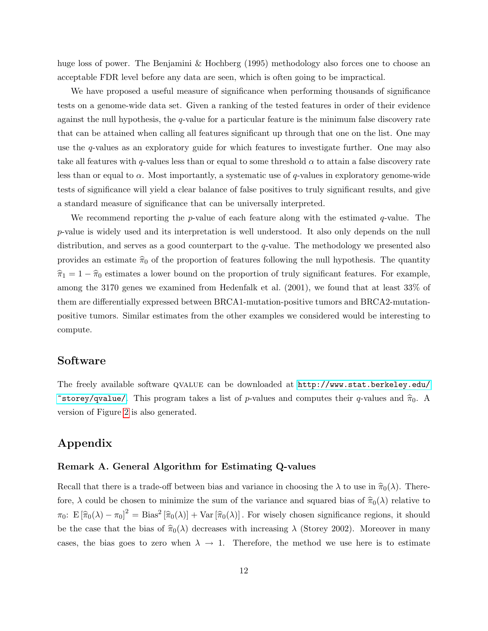huge loss of power. The Benjamini & Hochberg (1995) methodology also forces one to choose an acceptable FDR level before any data are seen, which is often going to be impractical.

We have proposed a useful measure of significance when performing thousands of significance tests on a genome-wide data set. Given a ranking of the tested features in order of their evidence against the null hypothesis, the q-value for a particular feature is the minimum false discovery rate that can be attained when calling all features significant up through that one on the list. One may use the q-values as an exploratory guide for which features to investigate further. One may also take all features with q-values less than or equal to some threshold  $\alpha$  to attain a false discovery rate less than or equal to  $\alpha$ . Most importantly, a systematic use of q-values in exploratory genome-wide tests of significance will yield a clear balance of false positives to truly significant results, and give a standard measure of significance that can be universally interpreted.

We recommend reporting the  $p$ -value of each feature along with the estimated  $q$ -value. The p-value is widely used and its interpretation is well understood. It also only depends on the null distribution, and serves as a good counterpart to the q-value. The methodology we presented also provides an estimate  $\hat{\pi}_0$  of the proportion of features following the null hypothesis. The quantity  $\hat{\pi}_1 = 1 - \hat{\pi}_0$  estimates a lower bound on the proportion of truly significant features. For example, among the 3170 genes we examined from Hedenfalk et al. (2001), we found that at least 33% of them are differentially expressed between BRCA1-mutation-positive tumors and BRCA2-mutationpositive tumors. Similar estimates from the other examples we considered would be interesting to compute.

### Software

The freely available software qvalue can be downloaded at [http://www.stat.berkeley.edu/](http://www.stat.berkeley.edu/~storey/qvalue/)  $\tilde{\tau}$ storey/qvalue/. This program takes a list of p-values and computes their q-values and  $\hat{\pi}_0$ . A version of Figure [2](#page-9-0) is also generated.

### Appendix

#### Remark A. General Algorithm for Estimating Q-values

Recall that there is a trade-off between bias and variance in choosing the  $\lambda$  to use in  $\hat{\pi}_0(\lambda)$ . Therefore,  $\lambda$  could be chosen to minimize the sum of the variance and squared bias of  $\hat{\pi}_0(\lambda)$  relative to  $\pi_0$ :  $E[\hat{\pi}_0(\lambda) - \pi_0]^2 = \text{Bias}^2[\hat{\pi}_0(\lambda)] + \text{Var}[\hat{\pi}_0(\lambda)]$ . For wisely chosen significance regions, it should be the case that the bias of  $\hat{\pi}_0(\lambda)$  decreases with increasing  $\lambda$  (Storey 2002). Moreover in many cases, the bias goes to zero when  $\lambda \to 1$ . Therefore, the method we use here is to estimate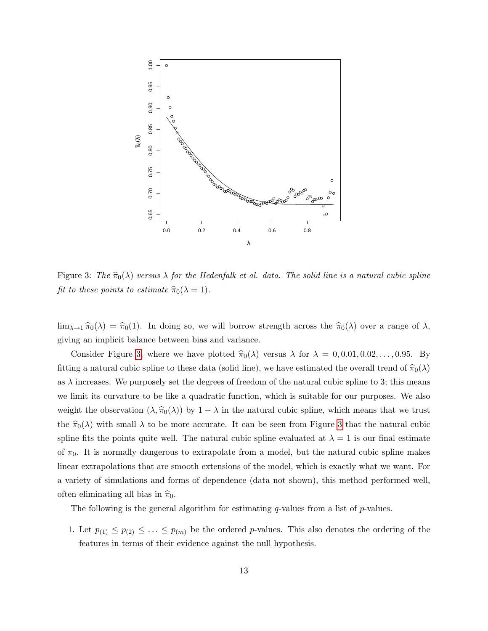

<span id="page-12-0"></span>Figure 3: The  $\hat{\pi}_0(\lambda)$  versus  $\lambda$  for the Hedenfalk et al. data. The solid line is a natural cubic spline fit to these points to estimate  $\hat{\pi}_0(\lambda = 1)$ .

 $\lim_{\lambda\to 1} \hat{\pi}_0(\lambda) = \hat{\pi}_0(1)$ . In doing so, we will borrow strength across the  $\hat{\pi}_0(\lambda)$  over a range of  $\lambda$ , giving an implicit balance between bias and variance.

Consider Figure [3,](#page-12-0) where we have plotted  $\hat{\pi}_0(\lambda)$  versus  $\lambda$  for  $\lambda = 0, 0.01, 0.02, \ldots, 0.95$ . By fitting a natural cubic spline to these data (solid line), we have estimated the overall trend of  $\hat{\pi}_0(\lambda)$ as  $\lambda$  increases. We purposely set the degrees of freedom of the natural cubic spline to 3; this means we limit its curvature to be like a quadratic function, which is suitable for our purposes. We also weight the observation  $(\lambda, \hat{\pi}_0(\lambda))$  by  $1 - \lambda$  in the natural cubic spline, which means that we trust the  $\hat{\pi}_0(\lambda)$  with small  $\lambda$  to be more accurate. It can be seen from Figure [3](#page-12-0) that the natural cubic spline fits the points quite well. The natural cubic spline evaluated at  $\lambda = 1$  is our final estimate of  $\pi_0$ . It is normally dangerous to extrapolate from a model, but the natural cubic spline makes linear extrapolations that are smooth extensions of the model, which is exactly what we want. For a variety of simulations and forms of dependence (data not shown), this method performed well, often eliminating all bias in  $\hat{\pi}_0$ .

The following is the general algorithm for estimating  $q$ -values from a list of  $p$ -values.

1. Let  $p_{(1)} \leq p_{(2)} \leq \ldots \leq p_{(m)}$  be the ordered p-values. This also denotes the ordering of the features in terms of their evidence against the null hypothesis.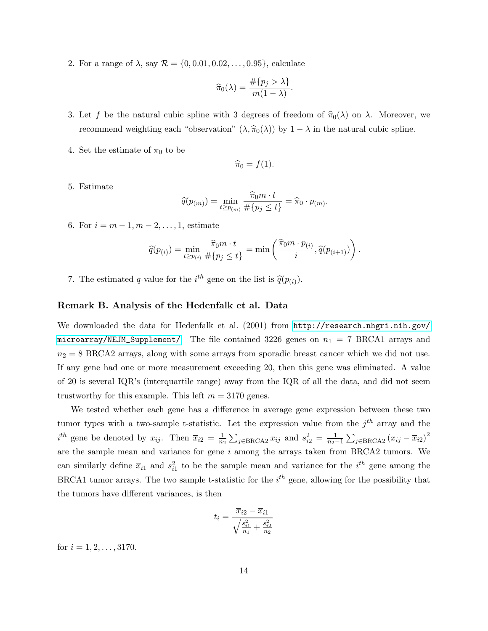2. For a range of  $\lambda$ , say  $\mathcal{R} = \{0, 0.01, 0.02, ..., 0.95\}$ , calculate

$$
\widehat{\pi}_0(\lambda) = \frac{\#\{p_j > \lambda\}}{m(1-\lambda)}.
$$

- 3. Let f be the natural cubic spline with 3 degrees of freedom of  $\hat{\pi}_0(\lambda)$  on  $\lambda$ . Moreover, we recommend weighting each "observation"  $(\lambda, \hat{\pi}_0(\lambda))$  by  $1 - \lambda$  in the natural cubic spline.
- 4. Set the estimate of  $\pi_0$  to be

$$
\widehat{\pi}_0 = f(1).
$$

5. Estimate

$$
\widehat{q}(p_{(m)}) = \min_{t \ge p_{(m)}} \frac{\widehat{\pi}_0 m \cdot t}{\# \{p_j \le t\}} = \widehat{\pi}_0 \cdot p_{(m)}.
$$

6. For  $i = m - 1, m - 2, ..., 1$ , estimate

$$
\widehat{q}(p_{(i)}) = \min_{t \ge p_{(i)}} \frac{\widehat{\pi}_0 m \cdot t}{\# \{p_j \le t\}} = \min \left( \frac{\widehat{\pi}_0 m \cdot p_{(i)}}{i}, \widehat{q}(p_{(i+1)}) \right).
$$

7. The estimated q-value for the  $i^{th}$  gene on the list is  $\hat{q}(p_{(i)})$ .

#### Remark B. Analysis of the Hedenfalk et al. Data

We downloaded the data for Hedenfalk et al. (2001) from [http://research.nhgri.nih.gov/](http://research.nhgri.nih.gov/microarray/NEJM_Supplement/) [microarray/NEJM\\_Supplement/](http://research.nhgri.nih.gov/microarray/NEJM_Supplement/). The file contained 3226 genes on  $n_1 = 7$  BRCA1 arrays and  $n_2 = 8$  BRCA2 arrays, along with some arrays from sporadic breast cancer which we did not use. If any gene had one or more measurement exceeding 20, then this gene was eliminated. A value of 20 is several IQR's (interquartile range) away from the IQR of all the data, and did not seem trustworthy for this example. This left  $m = 3170$  genes.

We tested whether each gene has a difference in average gene expression between these two tumor types with a two-sample t-statistic. Let the expression value from the  $j<sup>th</sup>$  array and the  $i^{th}$  gene be denoted by  $x_{ij}$ . Then  $\overline{x}_{i2} = \frac{1}{n^2}$  $\frac{1}{n_2} \sum_{j \in \text{BRCA2}} x_{ij}$  and  $s_{i2}^2 = \frac{1}{n_2-1} \sum_{j \in \text{BRCA2}} (x_{ij} - \overline{x}_{i2})^2$ are the sample mean and variance for gene  $i$  among the arrays taken from BRCA2 tumors. We can similarly define  $\bar{x}_{i1}$  and  $s_{i1}^2$  to be the sample mean and variance for the  $i^{th}$  gene among the BRCA1 tumor arrays. The two sample t-statistic for the  $i^{th}$  gene, allowing for the possibility that the tumors have different variances, is then

$$
t_i = \frac{\overline{x}_{i2} - \overline{x}_{i1}}{\sqrt{\frac{s_{i1}^2}{n_1} + \frac{s_{i2}^2}{n_2}}}
$$

for  $i = 1, 2, \ldots, 3170$ .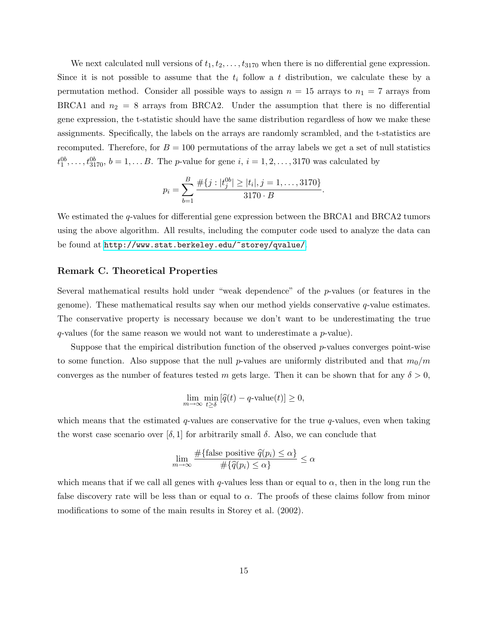We next calculated null versions of  $t_1, t_2, \ldots, t_{3170}$  when there is no differential gene expression. Since it is not possible to assume that the  $t_i$  follow a t distribution, we calculate these by a permutation method. Consider all possible ways to assign  $n = 15$  arrays to  $n_1 = 7$  arrays from BRCA1 and  $n_2 = 8$  arrays from BRCA2. Under the assumption that there is no differential gene expression, the t-statistic should have the same distribution regardless of how we make these assignments. Specifically, the labels on the arrays are randomly scrambled, and the t-statistics are recomputed. Therefore, for  $B = 100$  permutations of the array labels we get a set of null statistics  $t_1^{0b}, \ldots, t_{3170}^{0b}, b = 1, \ldots B$ . The *p*-value for gene *i*, *i* = 1, 2, ..., 3170 was calculated by

$$
p_i = \sum_{b=1}^{B} \frac{\#\{j : |t_j^{0b}| \ge |t_i|, j = 1, \dots, 3170\}}{3170 \cdot B}.
$$

We estimated the q-values for differential gene expression between the BRCA1 and BRCA2 tumors using the above algorithm. All results, including the computer code used to analyze the data can be found at <http://www.stat.berkeley.edu/~storey/qvalue/>.

#### Remark C. Theoretical Properties

Several mathematical results hold under "weak dependence" of the p-values (or features in the genome). These mathematical results say when our method yields conservative  $q$ -value estimates. The conservative property is necessary because we don't want to be underestimating the true  $q$ -values (for the same reason we would not want to underestimate a  $p$ -value).

Suppose that the empirical distribution function of the observed  $p$ -values converges point-wise to some function. Also suppose that the null p-values are uniformly distributed and that  $m_0/m$ converges as the number of features tested m gets large. Then it can be shown that for any  $\delta > 0$ ,

$$
\lim_{m \to \infty} \min_{t \ge \delta} \left[ \widehat{q}(t) - q\text{-value}(t) \right] \ge 0,
$$

which means that the estimated  $q$ -values are conservative for the true  $q$ -values, even when taking the worst case scenario over  $[\delta, 1]$  for arbitrarily small  $\delta$ . Also, we can conclude that

$$
\lim_{m \to \infty} \frac{\#\{\text{false positive } \widehat{q}(p_i) \leq \alpha\}}{\#\{\widehat{q}(p_i) \leq \alpha\}} \leq \alpha
$$

which means that if we call all genes with q-values less than or equal to  $\alpha$ , then in the long run the false discovery rate will be less than or equal to  $\alpha$ . The proofs of these claims follow from minor modifications to some of the main results in Storey et al. (2002).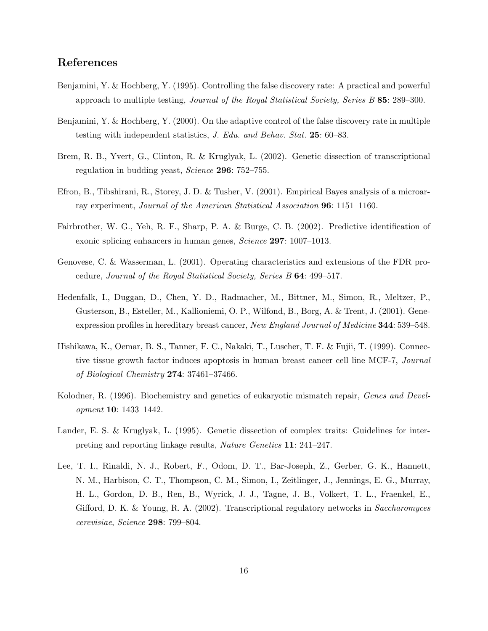# References

- Benjamini, Y. & Hochberg, Y. (1995). Controlling the false discovery rate: A practical and powerful approach to multiple testing, Journal of the Royal Statistical Society, Series B 85: 289–300.
- Benjamini, Y. & Hochberg, Y. (2000). On the adaptive control of the false discovery rate in multiple testing with independent statistics, J. Edu. and Behav. Stat. 25: 60–83.
- Brem, R. B., Yvert, G., Clinton, R. & Kruglyak, L. (2002). Genetic dissection of transcriptional regulation in budding yeast, Science 296: 752–755.
- Efron, B., Tibshirani, R., Storey, J. D. & Tusher, V. (2001). Empirical Bayes analysis of a microarray experiment, Journal of the American Statistical Association 96: 1151–1160.
- Fairbrother, W. G., Yeh, R. F., Sharp, P. A. & Burge, C. B. (2002). Predictive identification of exonic splicing enhancers in human genes, Science 297: 1007–1013.
- Genovese, C. & Wasserman, L. (2001). Operating characteristics and extensions of the FDR procedure, Journal of the Royal Statistical Society, Series B 64: 499–517.
- Hedenfalk, I., Duggan, D., Chen, Y. D., Radmacher, M., Bittner, M., Simon, R., Meltzer, P., Gusterson, B., Esteller, M., Kallioniemi, O. P., Wilfond, B., Borg, A. & Trent, J. (2001). Geneexpression profiles in hereditary breast cancer, New England Journal of Medicine 344: 539–548.
- Hishikawa, K., Oemar, B. S., Tanner, F. C., Nakaki, T., Luscher, T. F. & Fujii, T. (1999). Connective tissue growth factor induces apoptosis in human breast cancer cell line MCF-7, Journal of Biological Chemistry 274: 37461–37466.
- Kolodner, R. (1996). Biochemistry and genetics of eukaryotic mismatch repair, *Genes and Devel*opment 10: 1433–1442.
- Lander, E. S. & Kruglyak, L. (1995). Genetic dissection of complex traits: Guidelines for interpreting and reporting linkage results, Nature Genetics 11: 241–247.
- Lee, T. I., Rinaldi, N. J., Robert, F., Odom, D. T., Bar-Joseph, Z., Gerber, G. K., Hannett, N. M., Harbison, C. T., Thompson, C. M., Simon, I., Zeitlinger, J., Jennings, E. G., Murray, H. L., Gordon, D. B., Ren, B., Wyrick, J. J., Tagne, J. B., Volkert, T. L., Fraenkel, E., Gifford, D. K. & Young, R. A. (2002). Transcriptional regulatory networks in Saccharomyces cerevisiae, Science 298: 799–804.